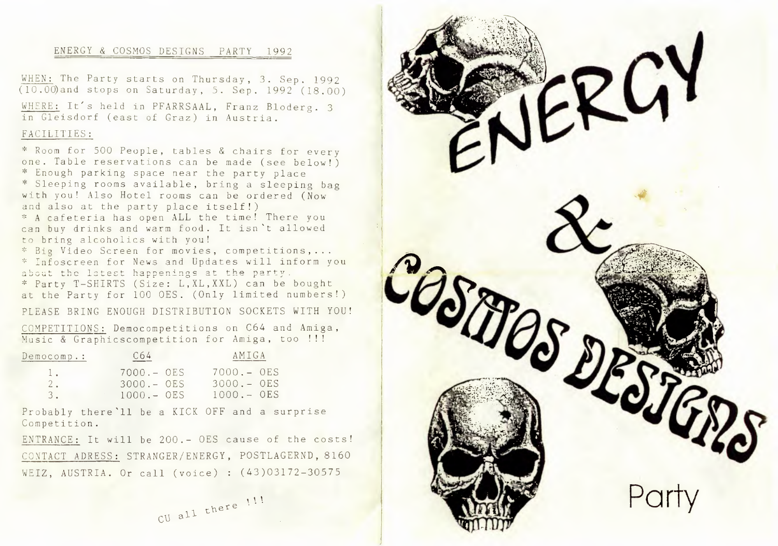## ENERGY & COSMOS DESIGNS PARTY 1992

WHEN: The Party starts on Thursday, 3. Sep. 1992 (10.00)and stops on Saturday, 5. Sep. 1992 (18.00)

WHERE: It's held in PFARRSAAL, Franz Bloderg. 3 in Gleisdorf (east of Graz) in Austria.

## FACILITIES:

\* Room for 500 People, tables & chairs for every one. Table reservations can be made (see below!) • Enough parking space near the party place \* Sleeping rooms available, bring a sleeping bag with you! Also Hotel rooms can be ordered (Now and also at the party place itself!) • A cafeteria has open ALL the time! There you can buy drinks and warm food. It isn't allowed to bring alcoholics with you!

\* Big Video Screen for movies, competitions,... • Infoscreen for News and Updates will inform you about the latest happenings at the party. • Party T-SHIRTS (Size: L,XL,XXL) can be bought at the Party for 100 OES. (Only limited numbers!)

PLEASE BRING ENOUGH DISTRIBUTION SOCKETS WITH YOU!

COMPETITIONS: Democompetitions on C64 and Amiga, Music & Graphicscompetition for Amiga, too !!!

| Democomp.:   | C64          | AMIGA        |
|--------------|--------------|--------------|
| $\mathbb{R}$ | $7000 - 0ES$ | $7000 - 0ES$ |
| 2.           | $3000 = 0ES$ | $3000 - 0ES$ |
|              | $1000 - 0ES$ | $1000 - 0ES$ |

Probably there'll be a KICK OFF and a surprise Competition.

ENTRANCE: It will be 200.- OES cause of the costs! CONTACT ADRESS: STRANGER/ENERGY, POSTLAGERND, 8160 WEIZ, AUSTRIA. Or call (voice) : (43)03172-30575

<sup>1</sup>. 1 1  $CU$   $a+1$